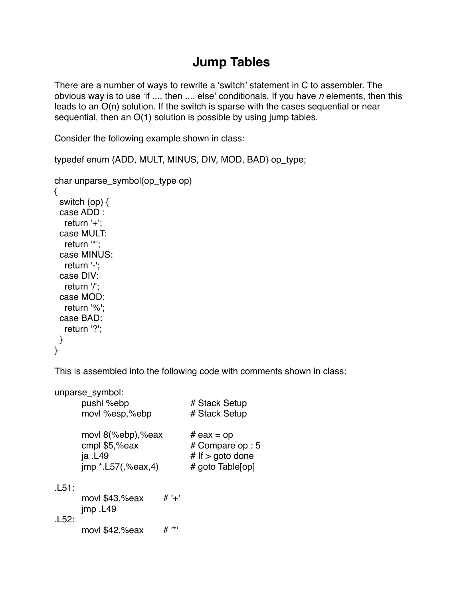## **Jump Tables**

There are a number of ways to rewrite a ʻswitch' statement in C to assembler. The obvious way is to use ʻif .... then .... else' conditionals. If you have *n* elements, then this leads to an O(n) solution. If the switch is sparse with the cases sequential or near sequential, then an O(1) solution is possible by using jump tables.

Consider the following example shown in class:

typedef enum {ADD, MULT, MINUS, DIV, MOD, BAD} op\_type;

```
char unparse_symbol(op_type op)
{
  switch (op) {
  case ADD :
   return '+';
  case MULT:
   return '*';
  case MINUS:
   return '-';
  case DIV:
   return '/';
  case MOD:
   return '%';
  case BAD:
   return '?';
 }
}
```
This is assembled into the following code with comments shown in class:

|       | unparse_symbol:         |           |                    |
|-------|-------------------------|-----------|--------------------|
|       | pushl %ebp              |           | # Stack Setup      |
|       | movl %esp,%ebp          |           | # Stack Setup      |
|       | movl 8(%ebp),%eax       |           | # $ear = op$       |
|       | cmpl \$5,%eax           |           | # Compare op : 5   |
|       | ja .L49                 |           | # If $>$ goto done |
|       | $imp * L57($ , %eax, 4) |           | # goto Table[op]   |
| .L51: |                         |           |                    |
|       | movl \$43,%eax          | # $'$ +'  |                    |
|       | jmp.L49                 |           |                    |
| .L52: |                         |           |                    |
|       | movl \$42,%eax          | $, \star$ |                    |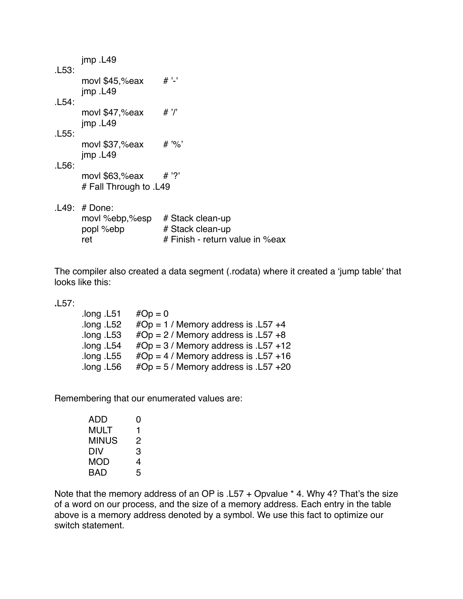| .L53: | $imp$ . L49                                         |                                                                         |  |  |  |
|-------|-----------------------------------------------------|-------------------------------------------------------------------------|--|--|--|
| .L54: | movl \$45,%eax<br>$imp$ . L49                       | $# '-'$                                                                 |  |  |  |
| .L55: | movl \$47,%eax<br>$imp$ . L49                       | # '/'                                                                   |  |  |  |
| .L56: | movl \$37,%eax<br>$imp$ . L49                       | # '%'                                                                   |  |  |  |
|       | movl \$63,%eax<br># Fall Through to .L49            | ?' #                                                                    |  |  |  |
|       | .L49: # Done:<br>movl %ebp,%esp<br>popl %ebp<br>ret | # Stack clean-up<br># Stack clean-up<br># Finish - return value in %eax |  |  |  |

The compiler also created a data segment (.rodata) where it created a ʻjump table' that looks like this:

**.**L57:

| $#Op = 0$                               |
|-----------------------------------------|
| $#Op = 1$ / Memory address is .157 +4   |
| $#Op = 2 /$ Memory address is . L57 +8  |
| $#Op = 3 /$ Memory address is .157 +12  |
| $#Op = 4 /$ Memory address is . L57 +16 |
| $#Op = 5 /$ Memory address is .157 +20  |
|                                         |

Remembering that our enumerated values are:

| ADD   | 0 |
|-------|---|
| MULT  | 1 |
| MINUS | 2 |
| DIV   | З |
| MOD   | 4 |
| BAD   | 5 |

Note that the memory address of an OP is .L57 + Opvalue \* 4. Why 4? That's the size of a word on our process, and the size of a memory address. Each entry in the table above is a memory address denoted by a symbol. We use this fact to optimize our switch statement.